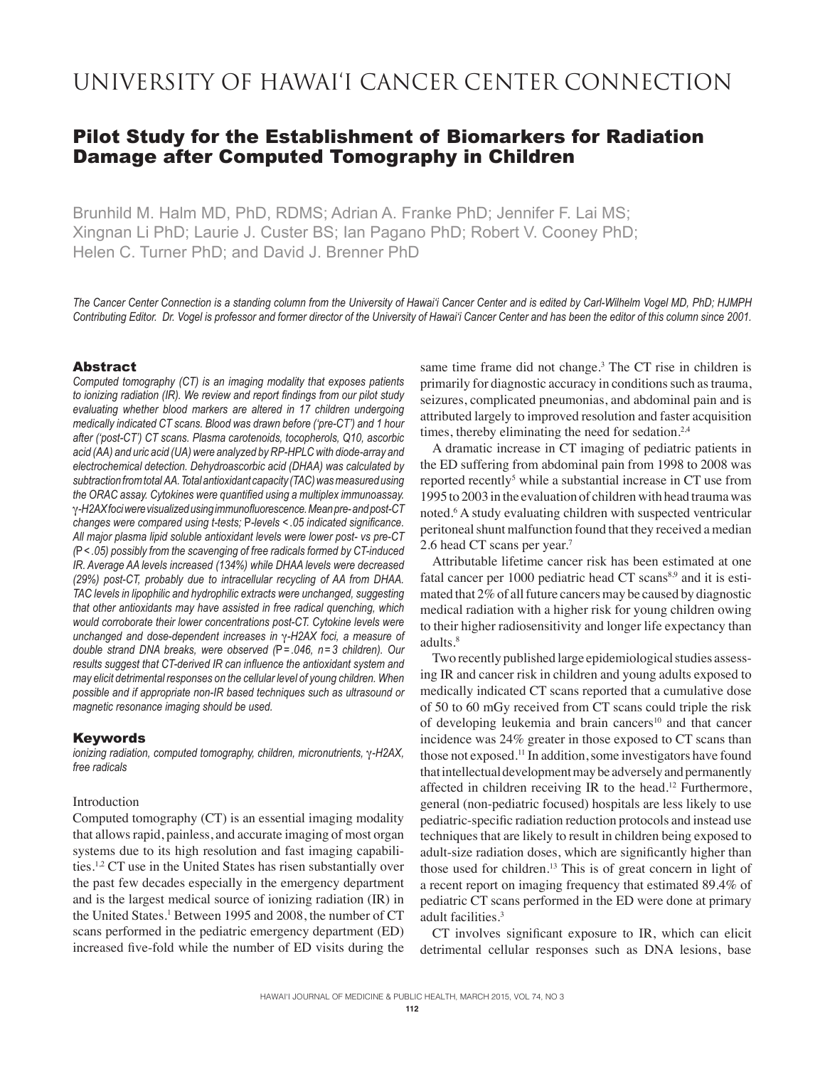# University of Hawai'i Cancer Center Connection

## Pilot Study for the Establishment of Biomarkers for Radiation Damage after Computed Tomography in Children

Brunhild M. Halm MD, PhD, RDMS; Adrian A. Franke PhD; Jennifer F. Lai MS; Xingnan Li PhD; Laurie J. Custer BS; Ian Pagano PhD; Robert V. Cooney PhD; Helen C. Turner PhD; and David J. Brenner PhD

*The Cancer Center Connection is a standing column from the University of Hawai'i Cancer Center and is edited by Carl-Wilhelm Vogel MD, PhD; HJMPH Contributing Editor. Dr. Vogel is professor and former director of the University of Hawai'i Cancer Center and has been the editor of this column since 2001.*

#### Abstract

*Computed tomography (CT) is an imaging modality that exposes patients to ionizing radiation (IR). We review and report findings from our pilot study evaluating whether blood markers are altered in 17 children undergoing medically indicated CT scans. Blood was drawn before ('pre-CT') and 1 hour after ('post-CT') CT scans. Plasma carotenoids, tocopherols, Q10, ascorbic acid (AA) and uric acid (UA) were analyzed by RP-HPLC with diode-array and electrochemical detection. Dehydroascorbic acid (DHAA) was calculated by subtraction from total AA. Total antioxidant capacity (TAC) was measured using the ORAC assay. Cytokines were quantified using a multiplex immunoassay.*  g*-H2AX foci were visualized using immunofluorescence. Mean pre- and post-CT changes were compared using t-tests;* P*-levels < .05 indicated significance. All major plasma lipid soluble antioxidant levels were lower post- vs pre-CT (*P*< .05) possibly from the scavenging of free radicals formed by CT-induced IR. Average AA levels increased (134%) while DHAA levels were decreased (29%) post-CT, probably due to intracellular recycling of AA from DHAA. TAC levels in lipophilic and hydrophilic extracts were unchanged, suggesting that other antioxidants may have assisted in free radical quenching, which would corroborate their lower concentrations post-CT. Cytokine levels were unchanged and dose-dependent increases in* g*-H2AX foci, a measure of double strand DNA breaks, were observed (*P*= .046, n = 3 children). Our results suggest that CT-derived IR can influence the antioxidant system and may elicit detrimental responses on the cellular level of young children. When possible and if appropriate non-IR based techniques such as ultrasound or magnetic resonance imaging should be used.* 

#### **Keywords**

*ionizing radiation, computed tomography, children, micronutrients,* g*-H2AX, free radicals*

## Introduction

Computed tomography (CT) is an essential imaging modality that allows rapid, painless, and accurate imaging of most organ systems due to its high resolution and fast imaging capabilities.1,2 CT use in the United States has risen substantially over the past few decades especially in the emergency department and is the largest medical source of ionizing radiation (IR) in the United States.<sup>1</sup> Between 1995 and 2008, the number of CT scans performed in the pediatric emergency department (ED) increased five-fold while the number of ED visits during the

same time frame did not change.<sup>3</sup> The CT rise in children is primarily for diagnostic accuracy in conditions such as trauma, seizures, complicated pneumonias, and abdominal pain and is attributed largely to improved resolution and faster acquisition times, thereby eliminating the need for sedation.<sup>2,4</sup>

A dramatic increase in CT imaging of pediatric patients in the ED suffering from abdominal pain from 1998 to 2008 was reported recently<sup>5</sup> while a substantial increase in CT use from 1995 to 2003 in the evaluation of children with head trauma was noted.<sup>6</sup> A study evaluating children with suspected ventricular peritoneal shunt malfunction found that they received a median 2.6 head CT scans per year.<sup>7</sup>

Attributable lifetime cancer risk has been estimated at one fatal cancer per 1000 pediatric head CT scans<sup>8,9</sup> and it is estimated that 2% of all future cancers may be caused by diagnostic medical radiation with a higher risk for young children owing to their higher radiosensitivity and longer life expectancy than adults.<sup>8</sup>

Two recently published large epidemiological studies assessing IR and cancer risk in children and young adults exposed to medically indicated CT scans reported that a cumulative dose of 50 to 60 mGy received from CT scans could triple the risk of developing leukemia and brain cancers<sup>10</sup> and that cancer incidence was 24% greater in those exposed to CT scans than those not exposed.<sup>11</sup> In addition, some investigators have found that intellectual development may be adversely and permanently affected in children receiving IR to the head.<sup>12</sup> Furthermore, general (non-pediatric focused) hospitals are less likely to use pediatric-specific radiation reduction protocols and instead use techniques that are likely to result in children being exposed to adult-size radiation doses, which are significantly higher than those used for children.<sup>13</sup> This is of great concern in light of a recent report on imaging frequency that estimated 89.4% of pediatric CT scans performed in the ED were done at primary adult facilities.<sup>3</sup>

CT involves significant exposure to IR, which can elicit detrimental cellular responses such as DNA lesions, base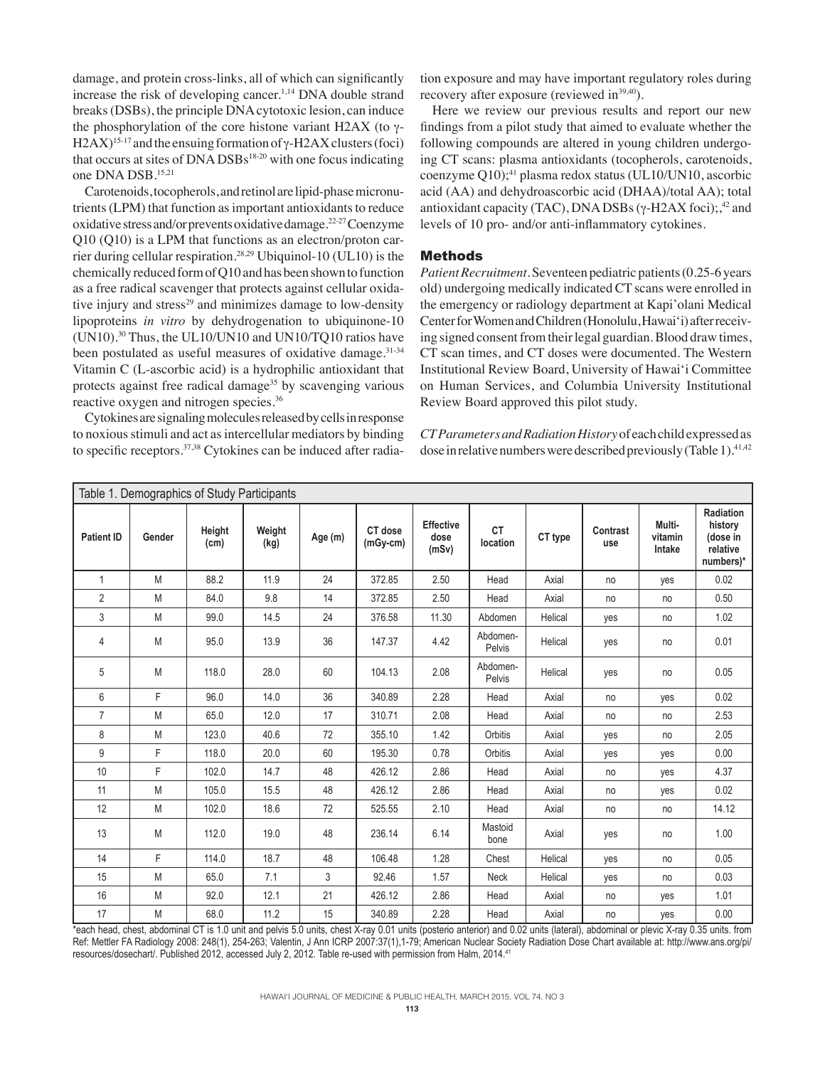damage, and protein cross-links, all of which can significantly increase the risk of developing cancer.<sup>1,14</sup> DNA double strand breaks (DSBs), the principle DNA cytotoxic lesion, can induce the phosphorylation of the core histone variant H2AX (to  $\gamma$ -H2AX)<sup>15-17</sup> and the ensuing formation of  $\gamma$ -H2AX clusters (foci) that occurs at sites of  $DNA DSBs<sup>18-20</sup>$  with one focus indicating one DNA DSB.15,21

Carotenoids, tocopherols, and retinol are lipid-phase micronutrients (LPM) that function as important antioxidants to reduce oxidative stress and/or prevents oxidative damage.22-27 Coenzyme Q10 (Q10) is a LPM that functions as an electron/proton carrier during cellular respiration.28,29 Ubiquinol-10 (UL10) is the chemically reduced form of Q10 and has been shown to function as a free radical scavenger that protects against cellular oxidative injury and stress<sup>29</sup> and minimizes damage to low-density lipoproteins *in vitro* by dehydrogenation to ubiquinone-10 (UN10).30 Thus, the UL10/UN10 and UN10/TQ10 ratios have been postulated as useful measures of oxidative damage.<sup>31-34</sup> Vitamin C (L-ascorbic acid) is a hydrophilic antioxidant that protects against free radical damage<sup>35</sup> by scavenging various reactive oxygen and nitrogen species.36

Cytokines are signaling molecules released by cells in response to noxious stimuli and act as intercellular mediators by binding to specific receptors.37,38 Cytokines can be induced after radia-

tion exposure and may have important regulatory roles during recovery after exposure (reviewed in<sup>39,40</sup>).

Here we review our previous results and report our new findings from a pilot study that aimed to evaluate whether the following compounds are altered in young children undergoing CT scans: plasma antioxidants (tocopherols, carotenoids, coenzyme  $Q10$ ;<sup>41</sup> plasma redox status (UL10/UN10, ascorbic acid (AA) and dehydroascorbic acid (DHAA)/total AA); total antioxidant capacity (TAC), DNA DSBs ( $\gamma$ -H2AX foci);,<sup>42</sup> and levels of 10 pro- and/or anti-inflammatory cytokines.

## Methods

*Patient Recruitment.*Seventeen pediatric patients (0.25-6 years old) undergoing medically indicated CT scans were enrolled in the emergency or radiology department at Kapi'olani Medical Center for Women and Children (Honolulu, Hawai'i) after receiving signed consent from their legal guardian. Blood draw times, CT scan times, and CT doses were documented. The Western Institutional Review Board, University of Hawai'i Committee on Human Services, and Columbia University Institutional Review Board approved this pilot study.

*CT Parameters and Radiation History* of each child expressed as dose in relative numbers were described previously (Table 1).<sup>41,42</sup>

| Table 1. Demographics of Study Participants |        |                |                |         |                       |                                   |                       |         |                 |                             |                                                           |
|---------------------------------------------|--------|----------------|----------------|---------|-----------------------|-----------------------------------|-----------------------|---------|-----------------|-----------------------------|-----------------------------------------------------------|
| <b>Patient ID</b>                           | Gender | Height<br>(cm) | Weight<br>(kg) | Age (m) | CT dose<br>$(mGy-cm)$ | <b>Effective</b><br>dose<br>(mSv) | <b>CT</b><br>location | CT type | Contrast<br>use | Multi-<br>vitamin<br>Intake | Radiation<br>history<br>(dose in<br>relative<br>numbers)* |
| $\mathbf{1}$                                | M      | 88.2           | 11.9           | 24      | 372.85                | 2.50                              | Head                  | Axial   | no              | yes                         | 0.02                                                      |
| $\overline{2}$                              | M      | 84.0           | 9.8            | 14      | 372.85                | 2.50                              | Head                  | Axial   | no              | no                          | 0.50                                                      |
| 3                                           | M      | 99.0           | 14.5           | 24      | 376.58                | 11.30                             | Abdomen               | Helical | yes             | no                          | 1.02                                                      |
| $\overline{4}$                              | M      | 95.0           | 13.9           | 36      | 147.37                | 4.42                              | Abdomen-<br>Pelvis    | Helical | yes             | no                          | 0.01                                                      |
| 5                                           | M      | 118.0          | 28.0           | 60      | 104.13                | 2.08                              | Abdomen-<br>Pelvis    | Helical | yes             | no                          | 0.05                                                      |
| 6                                           | F      | 96.0           | 14.0           | 36      | 340.89                | 2.28                              | Head                  | Axial   | no              | yes                         | 0.02                                                      |
| $\overline{7}$                              | M      | 65.0           | 12.0           | 17      | 310.71                | 2.08                              | Head                  | Axial   | no              | no                          | 2.53                                                      |
| 8                                           | M      | 123.0          | 40.6           | 72      | 355.10                | 1.42                              | Orbitis               | Axial   | yes             | no                          | 2.05                                                      |
| 9                                           | F      | 118.0          | 20.0           | 60      | 195.30                | 0.78                              | Orbitis               | Axial   | yes             | yes                         | 0.00                                                      |
| 10                                          | F      | 102.0          | 14.7           | 48      | 426.12                | 2.86                              | Head                  | Axial   | no              | yes                         | 4.37                                                      |
| 11                                          | M      | 105.0          | 15.5           | 48      | 426.12                | 2.86                              | Head                  | Axial   | no              | yes                         | 0.02                                                      |
| 12                                          | M      | 102.0          | 18.6           | 72      | 525.55                | 2.10                              | Head                  | Axial   | no              | no                          | 14.12                                                     |
| 13                                          | M      | 112.0          | 19.0           | 48      | 236.14                | 6.14                              | Mastoid<br>bone       | Axial   | yes             | no                          | 1.00                                                      |
| 14                                          | F      | 114.0          | 18.7           | 48      | 106.48                | 1.28                              | Chest                 | Helical | yes             | no                          | 0.05                                                      |
| 15                                          | M      | 65.0           | 7.1            | 3       | 92.46                 | 1.57                              | Neck                  | Helical | yes             | no                          | 0.03                                                      |
| 16                                          | M      | 92.0           | 12.1           | 21      | 426.12                | 2.86                              | Head                  | Axial   | no              | yes                         | 1.01                                                      |
| 17                                          | M      | 68.0           | 11.2           | 15      | 340.89                | 2.28                              | Head                  | Axial   | no              | yes                         | 0.00                                                      |

\*each head, chest, abdominal CT is 1.0 unit and pelvis 5.0 units, chest X-ray 0.01 units (posterio anterior) and 0.02 units (lateral), abdominal or plevic X-ray 0.35 units. from Ref: Mettler FA Radiology 2008: 248(1), 254-263; Valentin, J Ann ICRP 2007:37(1),1-79; American Nuclear Society Radiation Dose Chart available at: http://www.ans.org/pi/ resources/dosechart/. Published 2012, accessed July 2, 2012. Table re-used with permission from Halm, 2014.41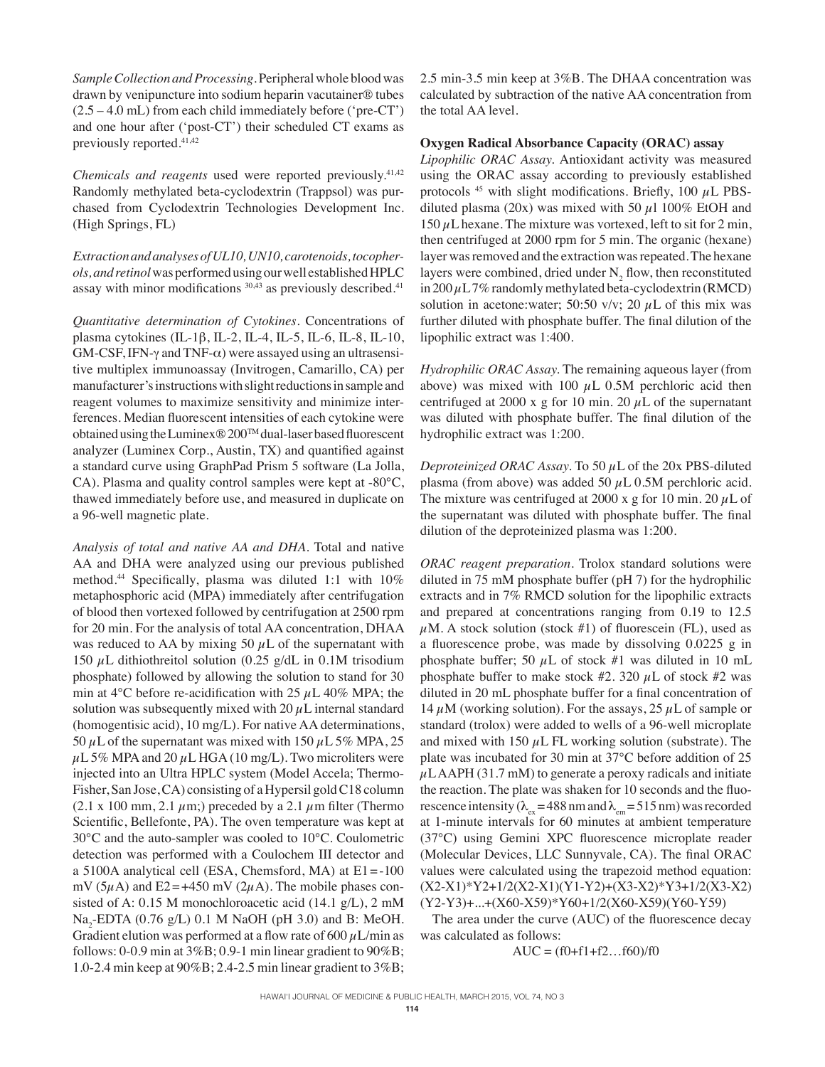*Sample Collection and Processing.*Peripheral whole blood was drawn by venipuncture into sodium heparin vacutainer® tubes (2.5 – 4.0 mL) from each child immediately before ('pre-CT') and one hour after ('post-CT') their scheduled CT exams as previously reported.41,42

*Chemicals and reagents* used were reported previously.<sup>41,42</sup> Randomly methylated beta-cyclodextrin (Trappsol) was purchased from Cyclodextrin Technologies Development Inc. (High Springs, FL)

*Extraction and analyses of UL10, UN10, carotenoids, tocopherols, and retinol* was performed using our well established HPLC assay with minor modifications <sup>30,43</sup> as previously described.<sup>41</sup>

*Quantitative determination of Cytokines.* Concentrations of plasma cytokines (IL-1 $\beta$ , IL-2, IL-4, IL-5, IL-6, IL-8, IL-10,  $GM-CSF$ , IFN- $\gamma$  and TNF- $\alpha$ ) were assayed using an ultrasensitive multiplex immunoassay (Invitrogen, Camarillo, CA) per manufacturer's instructions with slight reductions in sample and reagent volumes to maximize sensitivity and minimize interferences. Median fluorescent intensities of each cytokine were obtained using the Luminex® 200TM dual-laser based fluorescent analyzer (Luminex Corp., Austin, TX) and quantified against a standard curve using GraphPad Prism 5 software (La Jolla, CA). Plasma and quality control samples were kept at -80°C, thawed immediately before use, and measured in duplicate on a 96-well magnetic plate.

*Analysis of total and native AA and DHA.* Total and native AA and DHA were analyzed using our previous published method.<sup>44</sup> Specifically, plasma was diluted 1:1 with 10% metaphosphoric acid (MPA) immediately after centrifugation of blood then vortexed followed by centrifugation at 2500 rpm for 20 min. For the analysis of total AA concentration, DHAA was reduced to AA by mixing 50  $\mu$ L of the supernatant with 150  $\mu$ L dithiothreitol solution (0.25 g/dL in 0.1M trisodium phosphate) followed by allowing the solution to stand for 30 min at 4 $\rm ^{o}C$  before re-acidification with 25  $\mu$ L 40% MPA; the solution was subsequently mixed with 20  $\mu$ L internal standard (homogentisic acid), 10 mg/L). For native AA determinations, 50  $\mu$ L of the supernatant was mixed with 150  $\mu$ L 5% MPA, 25  $\mu$ L 5% MPA and 20  $\mu$ L HGA (10 mg/L). Two microliters were injected into an Ultra HPLC system (Model Accela; Thermo-Fisher, San Jose, CA) consisting of a Hypersil gold C18 column (2.1 x 100 mm, 2.1  $\mu$ m;) preceded by a 2.1  $\mu$ m filter (Thermo Scientific, Bellefonte, PA). The oven temperature was kept at 30°C and the auto-sampler was cooled to 10°C. Coulometric detection was performed with a Coulochem III detector and a 5100A analytical cell (ESA, Chemsford, MA) at E1=-100 mV ( $5\mu$ A) and E2 = +450 mV ( $2\mu$ A). The mobile phases consisted of A: 0.15 M monochloroacetic acid (14.1 g/L), 2 mM  $Na<sub>2</sub>$ -EDTA (0.76 g/L) 0.1 M NaOH (pH 3.0) and B: MeOH. Gradient elution was performed at a flow rate of 600  $\mu$ L/min as follows: 0-0.9 min at 3%B; 0.9-1 min linear gradient to 90%B; 1.0-2.4 min keep at 90%B; 2.4-2.5 min linear gradient to 3%B;

2.5 min-3.5 min keep at 3%B. The DHAA concentration was calculated by subtraction of the native AA concentration from the total AA level.

## **Oxygen Radical Absorbance Capacity (ORAC) assay**

*Lipophilic ORAC Assay.* Antioxidant activity was measured using the ORAC assay according to previously established protocols  $45$  with slight modifications. Briefly, 100  $\mu$ L PBSdiluted plasma (20x) was mixed with 50  $\mu$ 1 100% EtOH and 150  $\mu$ L hexane. The mixture was vortexed, left to sit for 2 min, then centrifuged at 2000 rpm for 5 min. The organic (hexane) layer was removed and the extraction was repeated. The hexane layers were combined, dried under  $N_2$  flow, then reconstituted in  $200 \mu L$  7% randomly methylated beta-cyclodextrin (RMCD) solution in acetone:water; 50:50 v/v; 20  $\mu$ L of this mix was further diluted with phosphate buffer. The final dilution of the lipophilic extract was 1:400.

*Hydrophilic ORAC Assay.* The remaining aqueous layer (from above) was mixed with 100  $\mu$ L 0.5M perchloric acid then centrifuged at 2000 x g for 10 min. 20  $\mu$ L of the supernatant was diluted with phosphate buffer. The final dilution of the hydrophilic extract was 1:200.

*Deproteinized ORAC Assay.* To 50 µL of the 20x PBS-diluted plasma (from above) was added 50  $\mu$ L 0.5M perchloric acid. The mixture was centrifuged at 2000 x g for 10 min. 20  $\mu$ L of the supernatant was diluted with phosphate buffer. The final dilution of the deproteinized plasma was 1:200.

*ORAC reagent preparation.* Trolox standard solutions were diluted in 75 mM phosphate buffer (pH 7) for the hydrophilic extracts and in 7% RMCD solution for the lipophilic extracts and prepared at concentrations ranging from 0.19 to 12.5  $\mu$ M. A stock solution (stock #1) of fluorescein (FL), used as a fluorescence probe, was made by dissolving 0.0225 g in phosphate buffer; 50  $\mu$ L of stock #1 was diluted in 10 mL phosphate buffer to make stock #2. 320  $\mu$ L of stock #2 was diluted in 20 mL phosphate buffer for a final concentration of 14  $\mu$ M (working solution). For the assays, 25  $\mu$ L of sample or standard (trolox) were added to wells of a 96-well microplate and mixed with 150  $\mu$ L FL working solution (substrate). The plate was incubated for 30 min at 37°C before addition of 25  $\mu$ LAAPH (31.7 mM) to generate a peroxy radicals and initiate the reaction. The plate was shaken for 10 seconds and the fluorescence intensity ( $\lambda_{\text{ex}}$  = 488 nm and  $\lambda_{\text{em}}$  = 515 nm) was recorded at 1-minute intervals for 60 minutes at ambient temperature (37°C) using Gemini XPC fluorescence microplate reader (Molecular Devices, LLC Sunnyvale, CA). The final ORAC values were calculated using the trapezoid method equation: (X2-X1)\*Y2+1/2(X2-X1)(Y1-Y2)+(X3-X2)\*Y3+1/2(X3-X2) (Y2-Y3)+...+(X60-X59)\*Y60+1/2(X60-X59)(Y60-Y59)

The area under the curve (AUC) of the fluorescence decay was calculated as follows:

$$
AUC = (f0 + f1 + f2...f60)/f0
$$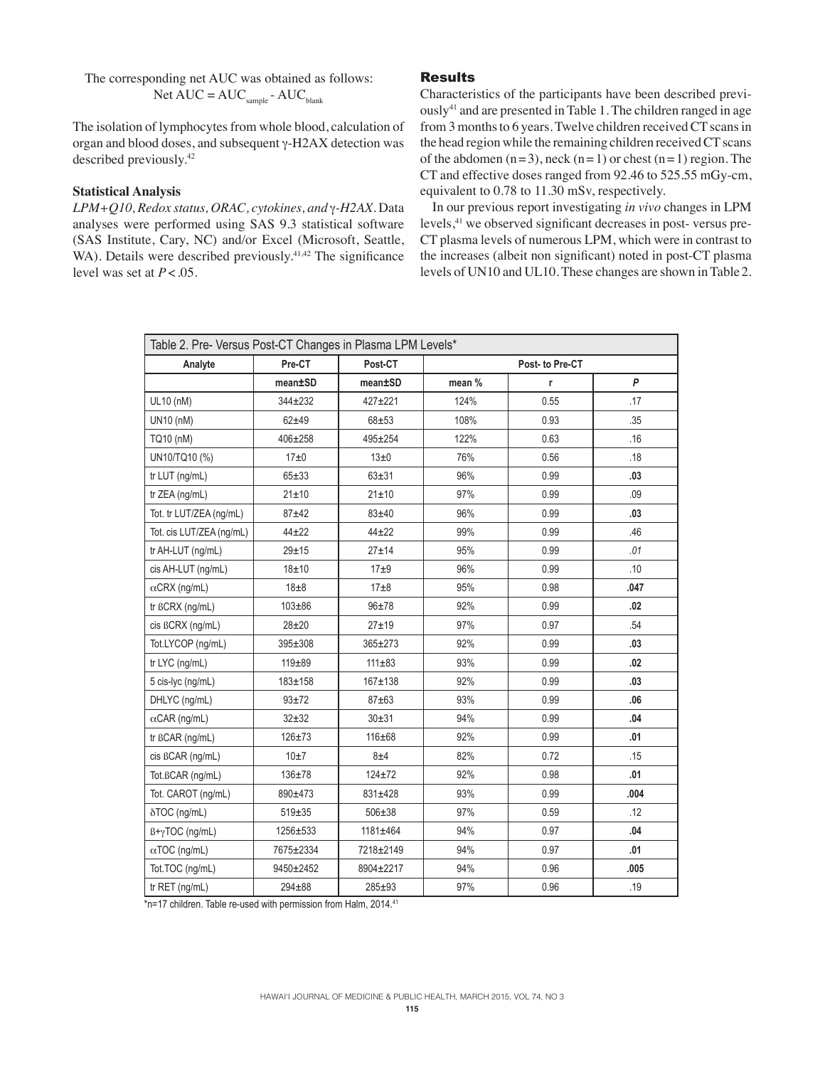The corresponding net AUC was obtained as follows: Net  $AUC = AUC_{sample} - AUC_{blank}$ 

The isolation of lymphocytes from whole blood, calculation of organ and blood doses, and subsequent  $\gamma$ -H2AX detection was described previously.<sup>42</sup>

## **Statistical Analysis**

*LPM+Q10, Redox status, ORAC, cytokines, and* g*-H2AX.* Data analyses were performed using SAS 9.3 statistical software (SAS Institute, Cary, NC) and/or Excel (Microsoft, Seattle, WA). Details were described previously.<sup>41,42</sup> The significance level was set at  $P < .05$ .

## Results

Characteristics of the participants have been described previously<sup>41</sup> and are presented in Table 1. The children ranged in age from 3 months to 6 years. Twelve children received CT scans in the head region while the remaining children received CT scans of the abdomen  $(n=3)$ , neck  $(n=1)$  or chest  $(n=1)$  region. The CT and effective doses ranged from 92.46 to 525.55 mGy-cm, equivalent to 0.78 to 11.30 mSv, respectively.

In our previous report investigating *in vivo* changes in LPM levels,<sup>41</sup> we observed significant decreases in post-versus pre-CT plasma levels of numerous LPM, which were in contrast to the increases (albeit non significant) noted in post-CT plasma levels of UN10 and UL10. These changes are shown in Table2.

| Table 2. Pre- Versus Post-CT Changes in Plasma LPM Levels* |               |               |        |                 |      |  |  |  |  |  |
|------------------------------------------------------------|---------------|---------------|--------|-----------------|------|--|--|--|--|--|
| Analyte                                                    | Pre-CT        | Post-CT       |        | Post- to Pre-CT |      |  |  |  |  |  |
|                                                            | mean±SD       | mean±SD       | mean % | r               | P    |  |  |  |  |  |
| UL10 (nM)                                                  | $344 \pm 232$ | $427+221$     | 124%   | 0.55            | .17  |  |  |  |  |  |
| UN10 (nM)                                                  | $62 + 49$     | $68 + 53$     | 108%   | 0.93            | .35  |  |  |  |  |  |
| TQ10 (nM)                                                  | 406±258       | $495 + 254$   | 122%   | 0.63            | .16  |  |  |  |  |  |
| UN10/TQ10 (%)                                              | 17±0          | 13±0          | 76%    | 0.56            | .18  |  |  |  |  |  |
| tr LUT (ng/mL)                                             | $65 + 33$     | $63 + 31$     | 96%    | 0.99            | .03  |  |  |  |  |  |
| tr ZEA (ng/mL)                                             | 21±10         | 21±10         | 97%    | 0.99            | .09  |  |  |  |  |  |
| Tot. tr LUT/ZEA (ng/mL)                                    | $87 + 42$     | $83 + 40$     | 96%    | 0.99            | .03  |  |  |  |  |  |
| Tot. cis LUT/ZEA (ng/mL)                                   | $44 + 22$     | $44 + 22$     | 99%    | 0.99            | .46  |  |  |  |  |  |
| tr AH-LUT (ng/mL)                                          | $29 + 15$     | $27 + 14$     | 95%    | 0.99            | .01  |  |  |  |  |  |
| cis AH-LUT (ng/mL)                                         | $18 + 10$     | 17±9          | 96%    | 0.99            | .10  |  |  |  |  |  |
| $\alpha$ CRX (ng/mL)                                       | $18\pm8$      | $17\pm8$      | 95%    | 0.98            | .047 |  |  |  |  |  |
| $tr$ $BCRX$ (ng/mL)                                        | $103 + 86$    | $96 + 78$     | 92%    | 0.99            | .02  |  |  |  |  |  |
| cis BCRX (ng/mL)                                           | $28 + 20$     | $27 + 19$     | 97%    | 0.97            | .54  |  |  |  |  |  |
| Tot.LYCOP (ng/mL)                                          | 395±308       | $365 \pm 273$ | 92%    | 0.99            | .03  |  |  |  |  |  |
| tr LYC (ng/mL)                                             | $119 + 89$    | $111 \pm 83$  | 93%    | 0.99            | .02  |  |  |  |  |  |
| 5 cis-lyc (ng/mL)                                          | 183±158       | 167±138       | 92%    | 0.99            | .03  |  |  |  |  |  |
| DHLYC (ng/mL)                                              | $93 + 72$     | $87 + 63$     | 93%    | 0.99            | .06  |  |  |  |  |  |
| $\alpha$ CAR (ng/mL)                                       | $32 + 32$     | $30 + 31$     | 94%    | 0.99            | .04  |  |  |  |  |  |
| tr BCAR (ng/mL)                                            | $126 + 73$    | 116±68        | 92%    | 0.99            | .01  |  |  |  |  |  |
| cis BCAR (ng/mL)                                           | 10±7          | 8±4           | 82%    | 0.72            | .15  |  |  |  |  |  |
| Tot.BCAR (ng/mL)                                           | 136±78        | $124 + 72$    | 92%    | 0.98            | .01  |  |  |  |  |  |
| Tot. CAROT (ng/mL)                                         | 890±473       | 831±428       | 93%    | 0.99            | .004 |  |  |  |  |  |
| δTOC (ng/mL)                                               | $519 \pm 35$  | $506 \pm 38$  | 97%    | 0.59            | .12  |  |  |  |  |  |
| $B + \gamma TOC$ (ng/mL)                                   | 1256±533      | 1181±464      | 94%    | 0.97            | .04  |  |  |  |  |  |
| $\alpha$ TOC (ng/mL)                                       | 7675±2334     | 7218±2149     | 94%    | 0.97            | .01  |  |  |  |  |  |
| Tot.TOC (ng/mL)                                            | 9450±2452     | 8904±2217     | 94%    | 0.96            | .005 |  |  |  |  |  |
| tr RET (ng/mL)                                             | $294 + 88$    | 285±93        | 97%    | 0.96            | .19  |  |  |  |  |  |

\*n=17 children. Table re-used with permission from Halm, 2014.<sup>41</sup>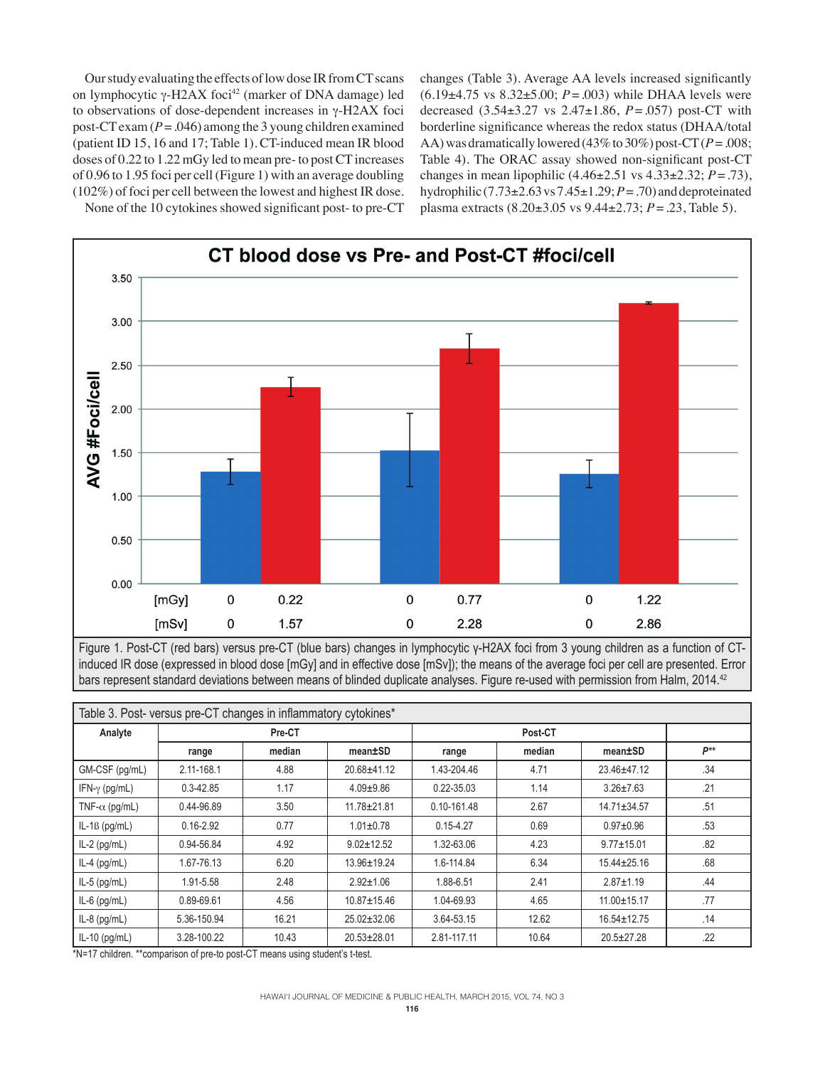Our study evaluating the effects of low dose IR from CT scans on lymphocytic  $\gamma$ -H2AX foci<sup>42</sup> (marker of DNA damage) led to observations of dose-dependent increases in  $\gamma$ -H2AX foci post-CT exam  $(P = .046)$  among the 3 young children examined (patient ID 15, 16 and 17; Table 1). CT-induced mean IR blood doses of 0.22 to 1.22 mGy led to mean pre- to post CT increases of 0.96 to 1.95 foci per cell (Figure 1) with an average doubling (102%) of foci per cell between the lowest and highest IR dose. changes (Table 3). Average AA levels increased significantly (6.19±4.75 vs 8.32±5.00; *P*=.003) while DHAA levels were decreased (3.54±3.27 vs 2.47±1.86, *P*=.057) post-CT with borderline significance whereas the redox status (DHAA/total AA) was dramatically lowered (43% to 30%) post- $CT(P = .008;$ Table 4). The ORAC assay showed non-significant post-CT changes in mean lipophilic (4.46±2.51 vs 4.33±2.32; *P*=.73), hydrophilic  $(7.73\pm 2.63 \text{ vs } 7.45\pm 1.29; P = .70)$  and deproteinated plasma extracts (8.20±3.05 vs 9.44±2.73; *P*=.23, Table 5).





Figure 1. Post-CT (red bars) versus pre-CT (blue bars) changes in lymphocytic γ-H2AX foci from 3 young children as a function of CTinduced IR dose (expressed in blood dose [mGy] and in effective dose [mSv]); the means of the average foci per cell are presented. Error bars represent standard deviations between means of blinded duplicate analyses. Figure re-used with permission from Halm, 2014.<sup>42</sup>

| Table 3. Post- versus pre-CT changes in inflammatory cytokines* |               |        |                   |               |        |                   |          |  |  |  |
|-----------------------------------------------------------------|---------------|--------|-------------------|---------------|--------|-------------------|----------|--|--|--|
| Analyte                                                         | Pre-CT        |        |                   |               |        |                   |          |  |  |  |
|                                                                 | range         | median | mean±SD           | range         | median | mean±SD           | $P^{**}$ |  |  |  |
| GM-CSF (pg/mL)                                                  | 2.11-168.1    | 4.88   | 20.68±41.12       | 1.43-204.46   | 4.71   | $23.46 \pm 47.12$ | .34      |  |  |  |
| IFN- $\gamma$ (pg/mL)                                           | $0.3 - 42.85$ | 1.17   | $4.09 \pm 9.86$   | 0.22-35.03    | 1.14   | $3.26 \pm 7.63$   | .21      |  |  |  |
| TNF- $\alpha$ (pg/mL)                                           | 0.44-96.89    | 3.50   | $11.78 \pm 21.81$ | 0.10-161.48   | 2.67   | $14.71 \pm 34.57$ | .51      |  |  |  |
| $IL-1B$ (pg/mL)                                                 | $0.16 - 2.92$ | 0.77   | $1.01 \pm 0.78$   | $0.15 - 4.27$ | 0.69   | $0.97+0.96$       | .53      |  |  |  |
| $IL-2$ (pg/mL)                                                  | 0.94-56.84    | 4.92   | $9.02 \pm 12.52$  | 1.32-63.06    | 4.23   | $9.77 \pm 15.01$  | .82      |  |  |  |
| $IL-4$ (pg/mL)                                                  | 1.67-76.13    | 6.20   | 13.96±19.24       | 1.6-114.84    | 6.34   | $15.44 \pm 25.16$ | .68      |  |  |  |
| $IL-5$ (pg/mL)                                                  | 1.91-5.58     | 2.48   | $2.92 \pm 1.06$   | 1.88-6.51     | 2.41   | $2.87 \pm 1.19$   | .44      |  |  |  |
| $IL-6$ (pg/mL)                                                  | 0.89-69.61    | 4.56   | $10.87 \pm 15.46$ | 1.04-69.93    | 4.65   | 11.00±15.17       | .77      |  |  |  |
| $IL-8$ (pg/mL)                                                  | 5.36-150.94   | 16.21  | $25.02 \pm 32.06$ | 3.64-53.15    | 12.62  | $16.54 \pm 12.75$ | .14      |  |  |  |
| $IL-10$ (pg/mL)                                                 | 3.28-100.22   | 10.43  | $20.53 \pm 28.01$ | 2.81-117.11   | 10.64  | $20.5 \pm 27.28$  | .22      |  |  |  |

\*N=17 children. \*\*comparison of pre-to post-CT means using student's t-test.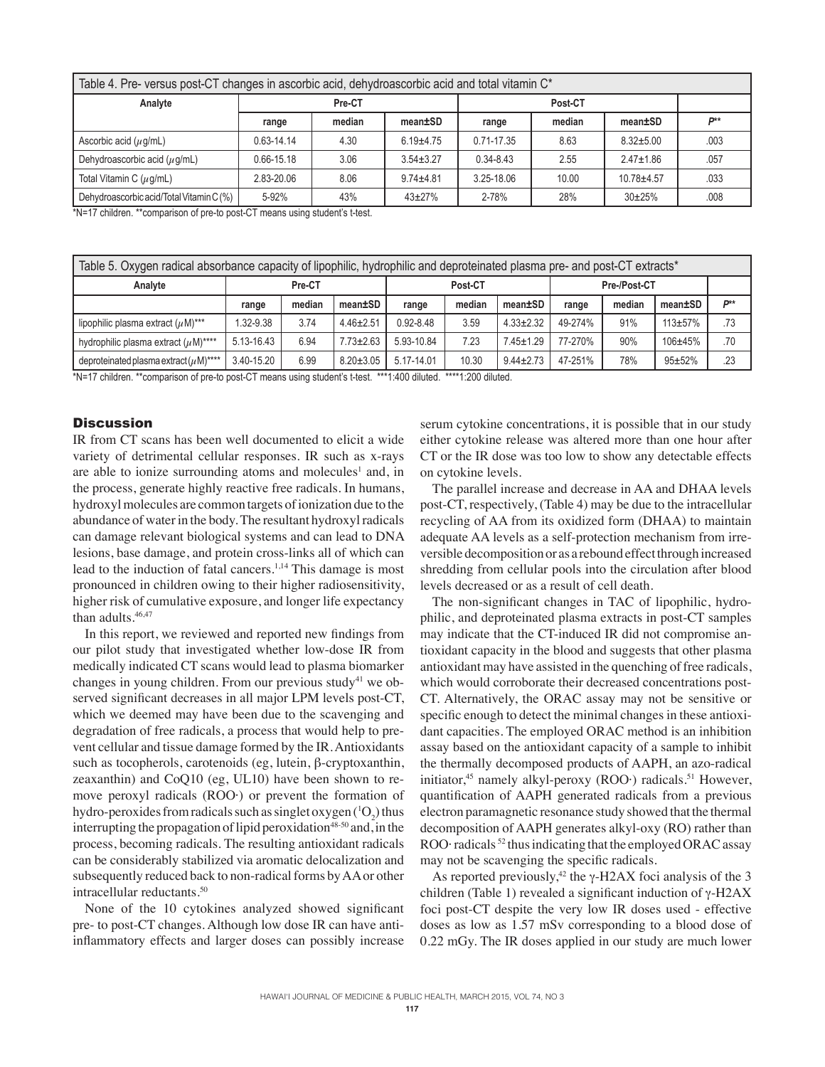| Table 4. Pre- versus post-CT changes in ascorbic acid, dehydroascorbic acid and total vitamin C <sup>*</sup> |            |        |                 |                 |       |                 |      |  |  |  |
|--------------------------------------------------------------------------------------------------------------|------------|--------|-----------------|-----------------|-------|-----------------|------|--|--|--|
| Analyte                                                                                                      |            | Pre-CT |                 |                 |       |                 |      |  |  |  |
|                                                                                                              | range      | median | mean±SD         | median<br>range |       | mean±SD         | D**  |  |  |  |
| Ascorbic acid $(\mu g/mL)$                                                                                   | 0.63-14.14 | 4.30   | $6.19 + 4.75$   | $0.71 - 17.35$  | 8.63  | $8.32 + 5.00$   | .003 |  |  |  |
| Dehydroascorbic acid $(\mu g/mL)$                                                                            | 0.66-15.18 | 3.06   | $3.54 \pm 3.27$ | $0.34 - 8.43$   | 2.55  | $2.47 \pm 1.86$ | .057 |  |  |  |
| Total Vitamin C $(\mu q/mL)$                                                                                 | 2.83-20.06 | 8.06   | $9.74 \pm 4.81$ | 3.25-18.06      | 10.00 | $10.78 + 4.57$  | .033 |  |  |  |
| Dehydroascorbic acid/Total Vitamin C (%)                                                                     | 5-92%      | 43%    | $43 \pm 27%$    | 2-78%           | 28%   | $30+25%$        | .008 |  |  |  |

\*N=17 children. \*\*comparison of pre-to post-CT means using student's t-test.

| Table 5. Oxygen radical absorbance capacity of lipophilic, hydrophilic and deproteinated plasma pre- and post-CT extracts* |            |        |                 |               |        |                 |              |        |             |     |
|----------------------------------------------------------------------------------------------------------------------------|------------|--------|-----------------|---------------|--------|-----------------|--------------|--------|-------------|-----|
| Analyte                                                                                                                    |            | Pre-CT |                 | Post-CT       |        |                 | Pre-/Post-CT |        |             |     |
|                                                                                                                            | range      | median | mean±SD         | range         | median | mean±SD         | range        | median | mean±SD     | D** |
| lipophilic plasma extract $(\mu M)^{***}$                                                                                  | 1.32-9.38  | 3.74   | $4.46 \pm 2.51$ | $0.92 - 8.48$ | 3.59   | $4.33 \pm 2.32$ | 49-274%      | 91%    | $113+57%$   | .73 |
| hydrophilic plasma extract $(\mu M)$ ****                                                                                  | 5.13-16.43 | 6.94   | $7.73 \pm 2.63$ | 5.93-10.84    | 7.23   | $7.45 \pm 1.29$ | 77-270%      | 90%    | $106 + 45%$ | .70 |
| deproteinated plasma extract $(\mu M)^{***}$                                                                               | 3.40-15.20 | 6.99   | $8.20 \pm 3.05$ | 5.17-14.01    | 10.30  | $9.44 \pm 2.73$ | 47-251%      | 78%    | $95 + 52%$  | .23 |

\*N=17 children. \*\*comparison of pre-to post-CT means using student's t-test. \*\*\*1:400 diluted. \*\*\*\*1:200 diluted.

## **Discussion**

IR from CT scans has been well documented to elicit a wide variety of detrimental cellular responses. IR such as x-rays are able to ionize surrounding atoms and molecules<sup>1</sup> and, in the process, generate highly reactive free radicals. In humans, hydroxyl molecules are common targets of ionization due to the abundance of water in the body. The resultant hydroxyl radicals can damage relevant biological systems and can lead to DNA lesions, base damage, and protein cross-links all of which can lead to the induction of fatal cancers.1,14 This damage is most pronounced in children owing to their higher radiosensitivity, higher risk of cumulative exposure, and longer life expectancy than adults.<sup>46,47</sup>

In this report, we reviewed and reported new findings from our pilot study that investigated whether low-dose IR from medically indicated CT scans would lead to plasma biomarker changes in young children. From our previous study<sup>41</sup> we observed significant decreases in all major LPM levels post-CT, which we deemed may have been due to the scavenging and degradation of free radicals, a process that would help to prevent cellular and tissue damage formed by the IR. Antioxidants such as tocopherols, carotenoids (eg, lutein,  $\beta$ -cryptoxanthin, zeaxanthin) and CoQ10 (eg, UL10) have been shown to remove peroxyl radicals (ROO·) or prevent the formation of hydro-peroxides from radicals such as singlet oxygen ( ${}^{1}O_{2}$ ) thus interrupting the propagation of lipid peroxidation<sup>48-50</sup> and, in the process, becoming radicals. The resulting antioxidant radicals can be considerably stabilized via aromatic delocalization and subsequently reduced back to non-radical forms by AA or other intracellular reductants.50

None of the 10 cytokines analyzed showed significant pre- to post-CT changes. Although low dose IR can have antiinflammatory effects and larger doses can possibly increase

serum cytokine concentrations, it is possible that in our study either cytokine release was altered more than one hour after CT or the IR dose was too low to show any detectable effects on cytokine levels.

The parallel increase and decrease in AA and DHAA levels post-CT, respectively, (Table 4) may be due to the intracellular recycling of AA from its oxidized form (DHAA) to maintain adequate AA levels as a self-protection mechanism from irreversible decomposition or as a rebound effect through increased shredding from cellular pools into the circulation after blood levels decreased or as a result of cell death.

The non-significant changes in TAC of lipophilic, hydrophilic, and deproteinated plasma extracts in post-CT samples may indicate that the CT-induced IR did not compromise antioxidant capacity in the blood and suggests that other plasma antioxidant may have assisted in the quenching of free radicals, which would corroborate their decreased concentrations post-CT. Alternatively, the ORAC assay may not be sensitive or specific enough to detect the minimal changes in these antioxidant capacities. The employed ORAC method is an inhibition assay based on the antioxidant capacity of a sample to inhibit the thermally decomposed products of AAPH, an azo-radical initiator,<sup>45</sup> namely alkyl-peroxy (ROO·) radicals.<sup>51</sup> However, quantification of AAPH generated radicals from a previous electron paramagnetic resonance study showed that the thermal decomposition of AAPH generates alkyl-oxy (RO) rather than ROO· radicals<sup>52</sup> thus indicating that the employed ORAC assay may not be scavenging the specific radicals.

As reported previously,<sup>42</sup> the  $\gamma$ -H2AX foci analysis of the 3 children (Table 1) revealed a significant induction of  $\gamma$ -H2AX foci post-CT despite the very low IR doses used - effective doses as low as 1.57 mSv corresponding to a blood dose of 0.22 mGy. The IR doses applied in our study are much lower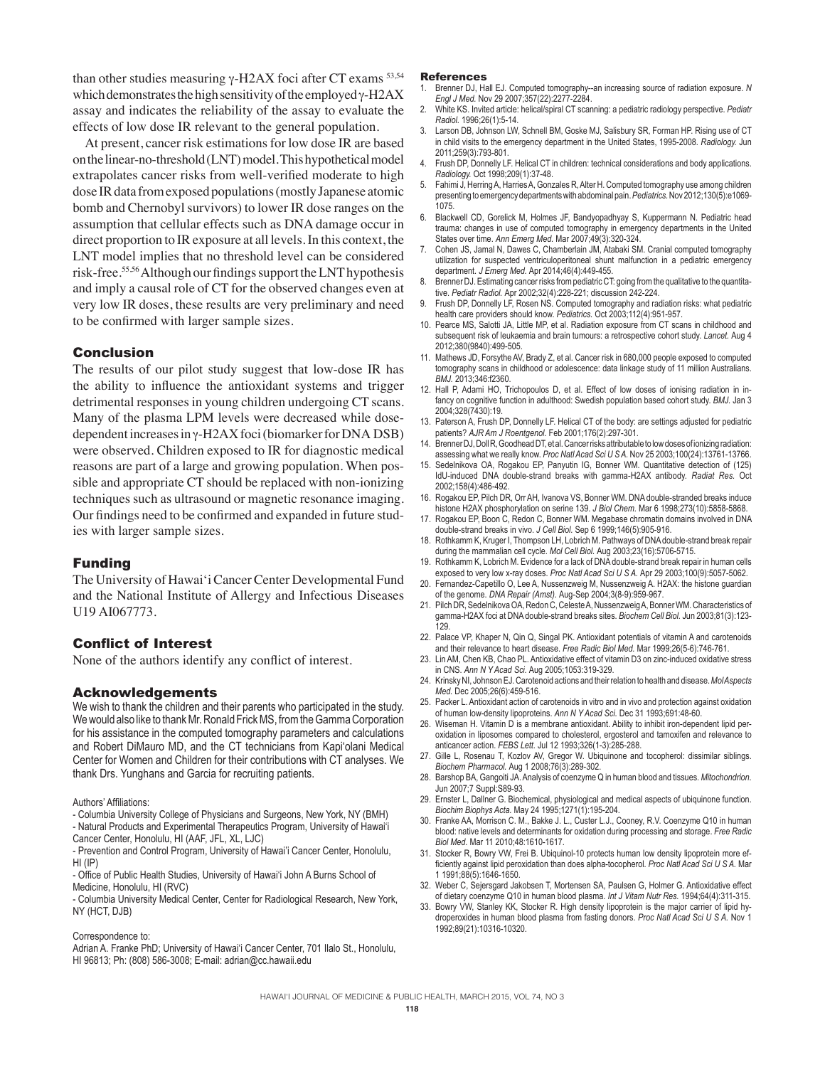than other studies measuring  $\gamma$ -H2AX foci after CT exams  $53,54$ which demonstrates the high sensitivity of the employed  $\gamma$ -H2AX assay and indicates the reliability of the assay to evaluate the effects of low dose IR relevant to the general population.

At present, cancer risk estimations for low dose IR are based on the linear-no-threshold (LNT) model. This hypothetical model extrapolates cancer risks from well-verified moderate to high dose IR data from exposed populations (mostly Japanese atomic bomb and Chernobyl survivors) to lower IR dose ranges on the assumption that cellular effects such as DNA damage occur in direct proportion to IR exposure at all levels. In this context, the LNT model implies that no threshold level can be considered risk-free.55,56 Although our findings support the LNT hypothesis and imply a causal role of CT for the observed changes even at very low IR doses, these results are very preliminary and need to be confirmed with larger sample sizes.

## Conclusion

The results of our pilot study suggest that low-dose IR has the ability to influence the antioxidant systems and trigger detrimental responses in young children undergoing CT scans. Many of the plasma LPM levels were decreased while dosedependent increases in y-H2AX foci (biomarker for DNA DSB) were observed. Children exposed to IR for diagnostic medical reasons are part of a large and growing population. When possible and appropriate CT should be replaced with non-ionizing techniques such as ultrasound or magnetic resonance imaging. Our findings need to be confirmed and expanded in future studies with larger sample sizes.

#### Funding

The University of Hawai'i Cancer Center Developmental Fund and the National Institute of Allergy and Infectious Diseases U19 AI067773.

## Conflict of Interest

None of the authors identify any conflict of interest.

#### Acknowledgements

We wish to thank the children and their parents who participated in the study. We would also like to thank Mr. Ronald Frick MS, from the Gamma Corporation for his assistance in the computed tomography parameters and calculations and Robert DiMauro MD, and the CT technicians from Kapi'olani Medical Center for Women and Children for their contributions with CT analyses. We thank Drs. Yunghans and Garcia for recruiting patients.

Authors' Affiliations:

- Columbia University College of Physicians and Surgeons, New York, NY (BMH) - Natural Products and Experimental Therapeutics Program, University of Hawai'i Cancer Center, Honolulu, HI (AAF, JFL, XL, LJC)

- Prevention and Control Program, University of Hawai'i Cancer Center, Honolulu, HI (IP)

- Office of Public Health Studies, University of Hawai'i John A Burns School of Medicine, Honolulu, HI (RVC)

- Columbia University Medical Center, Center for Radiological Research, New York, NY (HCT, DJB)

Correspondence to:

Adrian A. Franke PhD; University of Hawai'i Cancer Center, 701 Ilalo St., Honolulu, HI 96813; Ph: (808) 586-3008; E-mail: adrian@cc.hawaii.edu

#### References

- 1. Brenner DJ, Hall EJ. Computed tomography--an increasing source of radiation exposure. *N Engl J Med.* Nov 29 2007;357(22):2277-2284.
- 2. White KS. Invited article: helical/spiral CT scanning: a pediatric radiology perspective. *Pediatr Radiol.* 1996;26(1):5-14.
- 3. Larson DB, Johnson LW, Schnell BM, Goske MJ, Salisbury SR, Forman HP. Rising use of CT in child visits to the emergency department in the United States, 1995-2008. *Radiology.* Jun 2011;259(3):793-801.
- Frush DP, Donnelly LF. Helical CT in children: technical considerations and body applications. *Radiology.* Oct 1998;209(1):37-48.
- 5. Fahimi J, Herring A, Harries A, Gonzales R, Alter H. Computed tomography use among children presenting to emergency departments with abdominal pain. *Pediatrics.* Nov 2012;130(5):e1069- 1075.
- 6. Blackwell CD, Gorelick M, Holmes JF, Bandyopadhyay S, Kuppermann N. Pediatric head trauma: changes in use of computed tomography in emergency departments in the United States over time. *Ann Emerg Med.* Mar 2007;49(3):320-324.
- 7. Cohen JS, Jamal N, Dawes C, Chamberlain JM, Atabaki SM. Cranial computed tomography utilization for suspected ventriculoperitoneal shunt malfunction in a pediatric emergency department. *J Emerg Med.* Apr 2014;46(4):449-455.
- Brenner DJ. Estimating cancer risks from pediatric CT: going from the qualitative to the quantitative. *Pediatr Radiol.* Apr 2002;32(4):228-221; discussion 242-224.
- 9. Frush DP, Donnelly LF, Rosen NS. Computed tomography and radiation risks: what pediatric health care providers should know. *Pediatrics.* Oct 2003;112(4):951-957.
- 10. Pearce MS, Salotti JA, Little MP, et al. Radiation exposure from CT scans in childhood and subsequent risk of leukaemia and brain tumours: a retrospective cohort study. *Lancet.* Aug 4 2012;380(9840):499-505.
- 11. Mathews JD, Forsythe AV, Brady Z, et al. Cancer risk in 680,000 people exposed to computed tomography scans in childhood or adolescence: data linkage study of 11 million Australians. *BMJ.* 2013;346:f2360.
- 12. Hall P, Adami HO, Trichopoulos D, et al. Effect of low doses of ionising radiation in infancy on cognitive function in adulthood: Swedish population based cohort study. *BMJ.* Jan 3 2004;328(7430):19.
- 13. Paterson A, Frush DP, Donnelly LF. Helical CT of the body: are settings adjusted for pediatric patients? *AJR Am J Roentgenol.* Feb 2001;176(2):297-301.
- 14. Brenner DJ, Doll R, Goodhead DT, et al. Cancer risks attributable to low doses of ionizing radiation: assessing what we really know. *Proc Natl Acad Sci U S A.* Nov 25 2003;100(24):13761-13766.
- 15. Sedelnikova OA, Rogakou EP, Panyutin IG, Bonner WM. Quantitative detection of (125) IdU-induced DNA double-strand breaks with gamma-H2AX antibody. *Radiat Res.* Oct 2002;158(4):486-492.
- 16. Rogakou EP, Pilch DR, Orr AH, Ivanova VS, Bonner WM. DNA double-stranded breaks induce histone H2AX phosphorylation on serine 139. *J Biol Chem.* Mar 6 1998;273(10):5858-5868.
- Rogakou EP, Boon C, Redon C, Bonner WM. Megabase chromatin domains involved in DNA double-strand breaks in vivo. *J Cell Biol.* Sep 6 1999;146(5):905-916.
- 18. Rothkamm K, Kruger I, Thompson LH, Lobrich M. Pathways of DNA double-strand break repair during the mammalian cell cycle. *Mol Cell Biol.* Aug 2003;23(16):5706-5715.
- 19. Rothkamm K, Lobrich M. Evidence for a lack of DNA double-strand break repair in human cells exposed to very low x-ray doses. *Proc Natl Acad Sci U S A.* Apr 29 2003;100(9):5057-5062.
- 20. Fernandez-Capetillo O, Lee A, Nussenzweig M, Nussenzweig A. H2AX: the histone guardian of the genome. *DNA Repair (Amst).* Aug-Sep 2004;3(8-9):959-967.
- 21. Pilch DR, Sedelnikova OA, Redon C, Celeste A, Nussenzweig A, Bonner WM. Characteristics of gamma-H2AX foci at DNA double-strand breaks sites. *Biochem Cell Biol.* Jun 2003;81(3):123- 129.
- 22. Palace VP, Khaper N, Qin Q, Singal PK. Antioxidant potentials of vitamin A and carotenoids and their relevance to heart disease. *Free Radic Biol Med.* Mar 1999;26(5-6):746-761.
- 23. Lin AM, Chen KB, Chao PL. Antioxidative effect of vitamin D3 on zinc-induced oxidative stress in CNS. *Ann N Y Acad Sci.* Aug 2005;1053:319-329.
- 24. Krinsky NI, Johnson EJ. Carotenoid actions and their relation to health and disease. *Mol Aspects Med.* Dec 2005;26(6):459-516.
- 25. Packer L. Antioxidant action of carotenoids in vitro and in vivo and protection against oxidation of human low-density lipoproteins. *Ann N Y Acad Sci.* Dec 31 1993;691:48-60.
- 26. Wiseman H. Vitamin D is a membrane antioxidant. Ability to inhibit iron-dependent lipid peroxidation in liposomes compared to cholesterol, ergosterol and tamoxifen and relevance to anticancer action. *FEBS Lett.* Jul 12 1993;326(1-3):285-288.
- 27. Gille L, Rosenau T, Kozlov AV, Gregor W. Ubiquinone and tocopherol: dissimilar siblings. *Biochem Pharmacol.* Aug 1 2008;76(3):289-302.
- 28. Barshop BA, Gangoiti JA. Analysis of coenzyme Q in human blood and tissues. *Mitochondrion.*  Jun 2007;7 Suppl:S89-93.
- 29. Ernster L, Dallner G. Biochemical, physiological and medical aspects of ubiquinone function. *Biochim Biophys Acta.* May 24 1995;1271(1):195-204.
- 30. Franke AA, Morrison C. M., Bakke J. L., Custer L.J., Cooney, R.V. Coenzyme Q10 in human blood: native levels and determinants for oxidation during processing and storage. *Free Radic Biol Med.* Mar 11 2010;48:1610-1617.
- Stocker R, Bowry VW, Frei B. Ubiquinol-10 protects human low density lipoprotein more efficiently against lipid peroxidation than does alpha-tocopherol. *Proc Natl Acad Sci U S A.* Mar 1 1991;88(5):1646-1650.
- 32. Weber C, Sejersgard Jakobsen T, Mortensen SA, Paulsen G, Holmer G. Antioxidative effect of dietary coenzyme Q10 in human blood plasma. *Int J Vitam Nutr Res.* 1994;64(4):311-315.
- 33. Bowry VW, Stanley KK, Stocker R. High density lipoprotein is the major carrier of lipid hydroperoxides in human blood plasma from fasting donors. *Proc Natl Acad Sci U S A.* Nov 1 1992;89(21):10316-10320.

HAWAI'I JOURNAL OF MEDICINE & PUBLIC HEALTH, MARCH 2015, VOL 74, NO 3